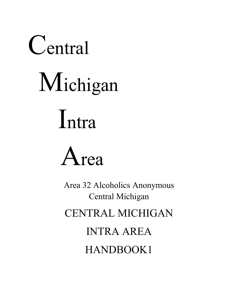# Central Michigan Intra

Area

Area 32 Alcoholics Anonymous Central Michigan CENTRAL MICHIGAN INTRA AREA HANDBOOK1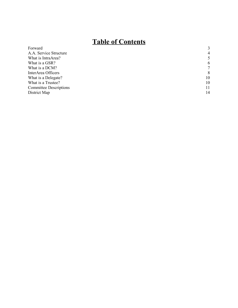# **Table of Contents**

| THOTC OF COMMUNIST            |                |
|-------------------------------|----------------|
| Forward                       | 3              |
| A.A. Service Structure        | $\overline{4}$ |
| What is IntraArea?            | 5              |
| What is a GSR?                | 6              |
| What is a DCM?                | 7              |
| InterArea Officers            | 8              |
| What is a Delegate?           | 10             |
| What is a Trustee?            | 10             |
| <b>Committee Descriptions</b> | 11             |
| District Map                  | 14             |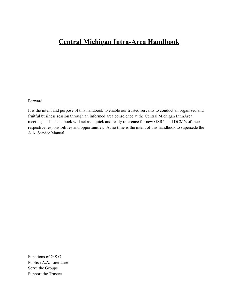# **Central Michigan Intra-Area Handbook**

Forward

It is the intent and purpose of this handbook to enable our trusted servants to conduct an organized and fruitful business session through an informed area conscience at the Central Michigan IntraArea meetings. This handbook will act as a quick and ready reference for new GSR's and DCM's of their respective responsibilities and opportunities. At no time is the intent of this handbook to supersede the A.A. Service Manual.

Functions of G.S.O. Publish A.A. Literature Serve the Groups Support the Trustee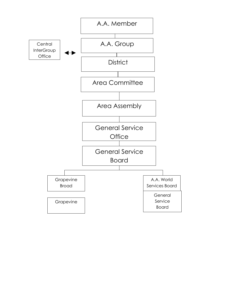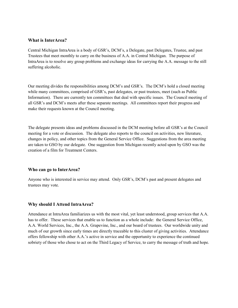#### **What is InterArea?**

Central Michigan IntraArea is a body of GSR's, DCM's, a Delegate, past Delegates, Trustee, and past Trustees that meet monthly to carry on the business of A.A. in Central Michigan. The purpose of IntraArea is to resolve any group problems and exchange ideas for carrying the A.A. message to the still suffering alcoholic.

Our meeting divides the responsibilities among DCM's and GSR's. The DCM's hold a closed meeting while many committees, comprised of GSR's, past delegates, or past trustees, meet (such as Public Information). There are currently ten committees that deal with specific issues. The Council meeting of all GSR's and DCM's meets after these separate meetings. All committees report their progress and make their requests known at the Council meeting.

The delegate presents ideas and problems discussed in the DCM meeting before all GSR's at the Council meeting for a vote or discussion. The delegate also reports to the council on activities, new literature, changes in policy, and other topics from the General Service Office. Suggestions from the area meeting are taken to GSO by our delegate. One suggestion from Michigan recently acted upon by GSO was the creation of a film for Treatment Centers.

#### **Who can go to InterArea?**

Anyone who is interested in service may attend. Only GSR's, DCM's past and present delegates and trustees may vote.

#### **Why should I Attend IntraArea?**

Attendance at IntraArea familiarizes us with the most vital, yet least understood, group services that A.A. has to offer. These services that enable us to function as a whole include: the General Service Office, A.A. World Services, Inc., the A.A. Grapevine, Inc., and our board of trustees. Our worldwide unity and much of our growth since early times are directly traceable to this cluster of giving activities. Attendance offers fellowship with other A.A.'s active in service and the opportunity to experience the continued sobriety of those who chose to act on the Third Legacy of Service, to carry the message of truth and hope.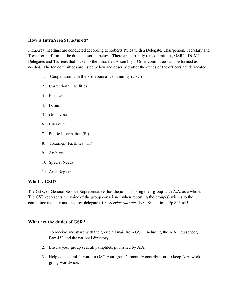#### **How is IntraArea Structured?**

IntraArea meetings are conducted according to Roberts Rules with a Delegate, Chairperson, Secretary and Treasurer performing the duties describe below. There are currently ten committees, GSR's, DCM's, Delegates and Trustees that make up the IntraArea Assembly. Other committees can be formed as needed. The ten committees are listed below and described after the duties of the officers are delineated.

- 1. Cooperation with the Professional Community (CPC)
- 2. Correctional Facilities
- 3. Finance
- 4. Forum
- 5. Grapevine
- 6. Literature
- 7. Public Information (PI)
- 8. Treatment Facilities (TF)
- 9. Archives
- 10. Special Needs
- 11. Area Registrar

#### **What is GSR?**

The GSR, or General Service Representative, has the job of linking their group with A.A. as a whole. The GSR represents the voice of the group conscience when reporting the group(s) wishes to the committee member and the area delegate (*A.A. Service Manual*, 1989-90 edition. Pp S43-s45).

#### **What are the duties of GSR?**

- 1. To receive and share with the group all mail from GSO, including the A.A. newspaper, Box 459 and the national directory.
- 2. Ensure your group sees all pamphlets published by A.A.
- 3. Help collect and forward to GSO your group's monthly contributions to keep A.A. work going worldwide.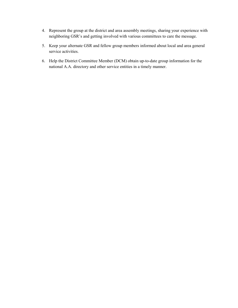- 4. Represent the group at the district and area assembly meetings, sharing your experience with neighboring GSR's and getting involved with various committees to care the message.
- 5. Keep your alternate GSR and fellow group members informed about local and area general service activities.
- 6. Help the District Committee Member (DCM) obtain up-to-date group information for the national A.A. directory and other service entities in a timely manner.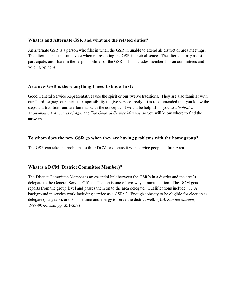#### **What is and Alternate GSR and what are the related duties?**

An alternate GSR is a person who fills in when the GSR in unable to attend all district or area meetings. The alternate has the same vote when representing the GSR in their absence. The alternate may assist, participate, and share in the responsibilities of the GSR. This includes membership on committees and voicing opinons.

# **As a new GSR is there anything I need to know first?**

Good General Service Representatives use the spirit or our twelve traditions. They are also familiar with our Third Legacy, our spiritual responsibility to give service freely. It is recommended that you know the steps and traditions and are familiar with the concepts. It would be helpful for you to *Alcoholics Anonymous*, *A.A. comes of Age*, and *The General Service Manual*, so you will know where to find the answers.

# **To whom does the new GSR go when they are having problems with the home group?**

The GSR can take the problems to their DCM or discuss it with service people at IntraArea.

# **What is a DCM (District Committee Member)?**

The District Committee Member is an essential link between the GSR's in a district and the area's delegate to the General Service Office. The job is one of two-way communication. The DCM gets reports from the group level and passes them on to the area delegate. Qualifications include: 1. A background in service work including service as a GSR; 2. Enough sobriety to be eligible for election as delegate (4-5 years); and 3. The time and energy to serve the district well. (*A.A. Service Manual*, 1989-90 edition, pp. S51-S57)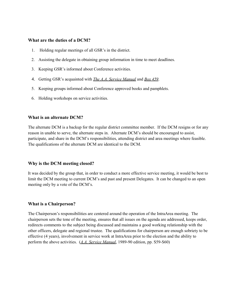#### **What are the duties of a DCM?**

- 1. Holding regular meetings of all GSR's in the district.
- 2. Assisting the delegate in obtaining group information in time to meet deadlines.
- 3. Keeping GSR's informed about Conference activities.
- 4. Getting GSR's acquainted with *The A.A. Service Manual* and *Box 459*.
- 5. Keeping groups informed about Conference approved books and pamphlets.
- 6. Holding workshops on service activities.

#### **What is an alternate DCM?**

The alternate DCM is a backup for the regular district committee member. If the DCM resigns or for any reason in unable to serve, the alternate steps in. Alternate DCM's should be encouraged to assist, participate, and share in the DCM's responsibilities, attending district and area meetings where feasible. The qualifications of the alternate DCM are identical to the DCM.

#### **Why is the DCM meeting closed?**

It was decided by the group that, in order to conduct a more effective service meeting, it would be best to limit the DCM meeting to current DCM's and past and present Delegates. It can be changed to an open meeting only by a vote of the DCM's.

#### **What is a Chairperson?**

The Chairperson's responsibilities are centered around the operation of the IntraArea meeting. The chairperson sets the tone of the meeting, ensures that all issues on the agenda are addressed, keeps order, redirects comments to the subject being discussed and maintains a good working relationship with the other officers, delegate and regional trustee. The qualifications for chairperson are enough sobriety to be effective (4 years), involvement in service work at IntraArea prior to the election and the ability to perform the above activities. (*A.A. Service Manual*, 1989-90 edition, pp. S59-S60)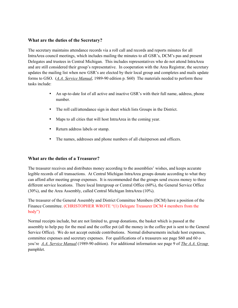#### **What are the duties of the Secretary?**

The secretary maintains attendance records via a roll call and records and reports minutes for all IntraArea council meetings, which includes mailing the minutes to all GSR's, DCM's pas and present Delegates and trustees in Central Michigan. This includes representatives who do not attend IntraArea and are still considered their group's representative. In cooperation with the Area Registrar, the secretary updates the mailing list when new GSR's are elected by their local group and completes and mails update forms to GSO. (*A.A. Service Manual*, 1989-90 edition p. S60) The materials needed to perform these tasks include:

- An up-to-date list of all active and inactive GSR's with their full name, address, phone number.
- The roll call/attendance sign in sheet which lists Groups in the District.
- Maps to all cities that will host IntraArea in the coming year.
- Return address labels or stamp.
- The names, addresses and phone numbers of all chairperson and officers.

# **What are the duties of a Treasurer?**

The treasurer receives and distributes money according to the assemblies' wishes, and keeps accurate legible records of all transactions. At Central Michigan IntraArea groups donate according to what they can afford after meeting group expenses. It is recommended that the groups send excess money to three different service locations. There local Intergroup or Central Office (60%), the General Service Office (30%), and the Area Assembly, called Central Michigan IntraArea (10%).

The treasurer of the General Assembly and District Committee Members (DCM) have a position of the Finance Committee. (CHRISTOPHER WROTE "(1) Delegate Treasurer DCM 4 members from the body")

Normal receipts include, but are not limited to, group donations, the basket which is passed at the assembly to help pay for the meal and the coffee pot (all the money in the coffee pot is sent to the General Service Office). We do not accept outside contributions. Normal disbursements include host expenses, committee expenses and secretary expenses. For qualifications of a treasurers see page S60 and 60 o you're *A.A. Service Manual* (1989-90 edition). For additional information see page 9 of *The A.A. Group* pamphlet.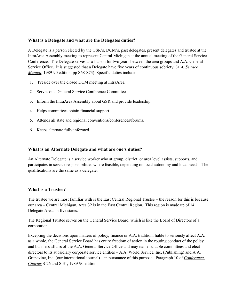#### **What is a Delegate and what are the Delegates duties?**

A Delegate is a person elected by the GSR's, DCM's, past delegates, present delegates and trustee at the IntraArea Assembly meeting to represent Central Michigan at the annual meeting of the General Service Conference. The Delegate serves as a liaison for two years between the area groups and A.A. General Service Office. It is suggested that a Delegate have five years of continuous sobriety. (*A.A. Service Manual*, 1989-90 edition, pp S68-S73) Specific duties include:

- 1. Preside over the closed DCM meeting at IntraArea.
- 2. Serves on a General Service Conference Committee.
- 3. Inform the IntraArea Assembly about GSR and provide leadership.
- 4. Helps committees obtain financial support.
- 5. Attends all state and regional conventions/conferences/forums.
- 6. Keeps alternate fully informed.

#### **What is an Alternate Delegate and what are one's duties?**

An Alternate Delegate is a service worker who at group, district or area level assists, supports, and participates in service responsibilities where feasible, depending on local autonomy and local needs. The qualifications are the same as a delegate.

#### **What is a Trustee?**

The trustee we are most familiar with is the East Central Regional Trustee – the reason for this is because our area – Central Michigan, Area 32 is in the East Central Region. This region is made up of 14 Delegate Areas in five states.

The Regional Trustee serves on the General Service Board, which is like the Board of Directors of a corporation.

Excepting the decisions upon matters of policy, finance or A.A. tradition, liable to seriously affect A.A. as a whole, the General Service Board has entire freedom of action in the routing conduct of the policy and business affairs of the A.A. General Service Office and may name suitable committees and elect directors to its subsidiary corporate service entities – A.A. World Service, Inc. (Publishing) and A.A. Grapevine, Inc. (our international journal) – in pursuance of this purpose. Paragraph 10 of *Conference Charter* S-26 and S-31, 1989-90 edition.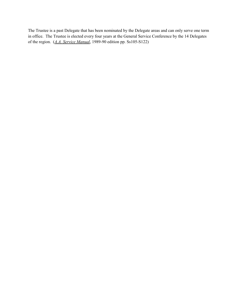The Trustee is a past Delegate that has been nominated by the Delegate areas and can only serve one term in office. The Trustee is elected every four years at the General Service Conference by the 14 Delegates of the region. (*A.A. Service Manual*, 1989-90 edition pp. Ss105-S122)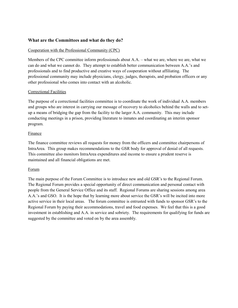#### **What are the Committees and what do they do?**

# Cooperation with the Professional Community (CPC)

Members of the CPC committee inform professionals about A.A. – what we are, where we are, what we can do and what we cannot do. They attempt to establish better communication between A.A.'s and professionals and to find productive and creative ways of cooperation without affiliating. The professional community may include physicians, clergy, judges, therapists, and probation officers or any other professional who comes into contact with an alcoholic.

# Correctional Facilities

The purpose of a correctional facilities committee is to coordinate the work of individual A.A. members and groups who are interest in carrying our message of recovery to alcoholics behind the walls and to setup a means of bridging the gap from the facility to the larger A.A. community. This may include conducting meetings in a prison, providing literature to inmates and coordinating an interim sponsor program.

#### Finance

The finance committee reviews all requests for money from the officers and committee chairpersons of IntraArea. This group makes recommendations to the GSR body for approval of denial of all requests. This committee also monitors IntraArea expenditures and income to ensure a prudent reserve is maintained and all financial obligations are met.

#### Forum

The main purpose of the Forum Committee is to introduce new and old GSR's to the Regional Forum. The Regional Forum provides a special opportunity of direct communication and personal contact with people from the General Service Office and its staff. Regional Forums are sharing sessions among area A.A.'s and GSO. It is the hope that by learning more about service the GSR's will be incited into more active service in their local areas. The forum committee is entrusted with funds to sponsor GSR's to the Regional Forum by paying their accommodations, travel and food expenses. We feel that this is a good investment in establishing and A.A. in service and sobriety. The requirements for qualifying for funds are suggested by the committee and voted on by the area assembly.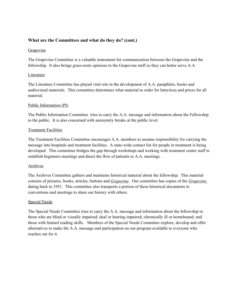## **What are the Committees and what do they do? (cont.)**

#### Grapevine

The Grapevine Committee is a valuable instrument for communication between the Grapevine and the fellowship. It also brings grass-roots opinions to the Grapevine staff so they can better serve A.A.

#### Literature

The Literature Committee has played vital role in the development of A.A. pamphlets, books and audiovisual materials. This committee determines what material to order for IntraArea and prices for all material.

#### Public Information (PI)

The Public Information Committee tries to carry the A.A. message and information about the Fellowship to the public. It is also concerned with anonymity breaks at the public level.

#### Treatment Facilities

The Treatment Facilities Committee encourages A.A. members to assume responsibility for carrying the message into hospitals and treatment facilities. A state-wide contact list for people in treatment is being developed. This committee bridges the gap through workshops and working with treatment center staff to establish beginners meetings and direct the flow of patients to A.A. meetings.

#### Archives

The Archives Committee gathers and maintains historical material about the fellowship. This material consists of pictures, books, articles, buttons and *Grapevine*. Our committee has copies of the *Grapevine* dating back to 1951. This committee also transports a portion of these historical documents to conventions and meetings to share our history with others.

#### Special Needs

The Special Needs Committee tries to carry the A.A. message and information about the fellowship to those who are blind or visually impaired; deaf or hearing impaired; chronically ill or homebound; and those with limited reading skills. Members of the Special Needs Committee explore, develop and offer alternatives to make the A.A. message and participation on our program available to everyone who reaches out for it.